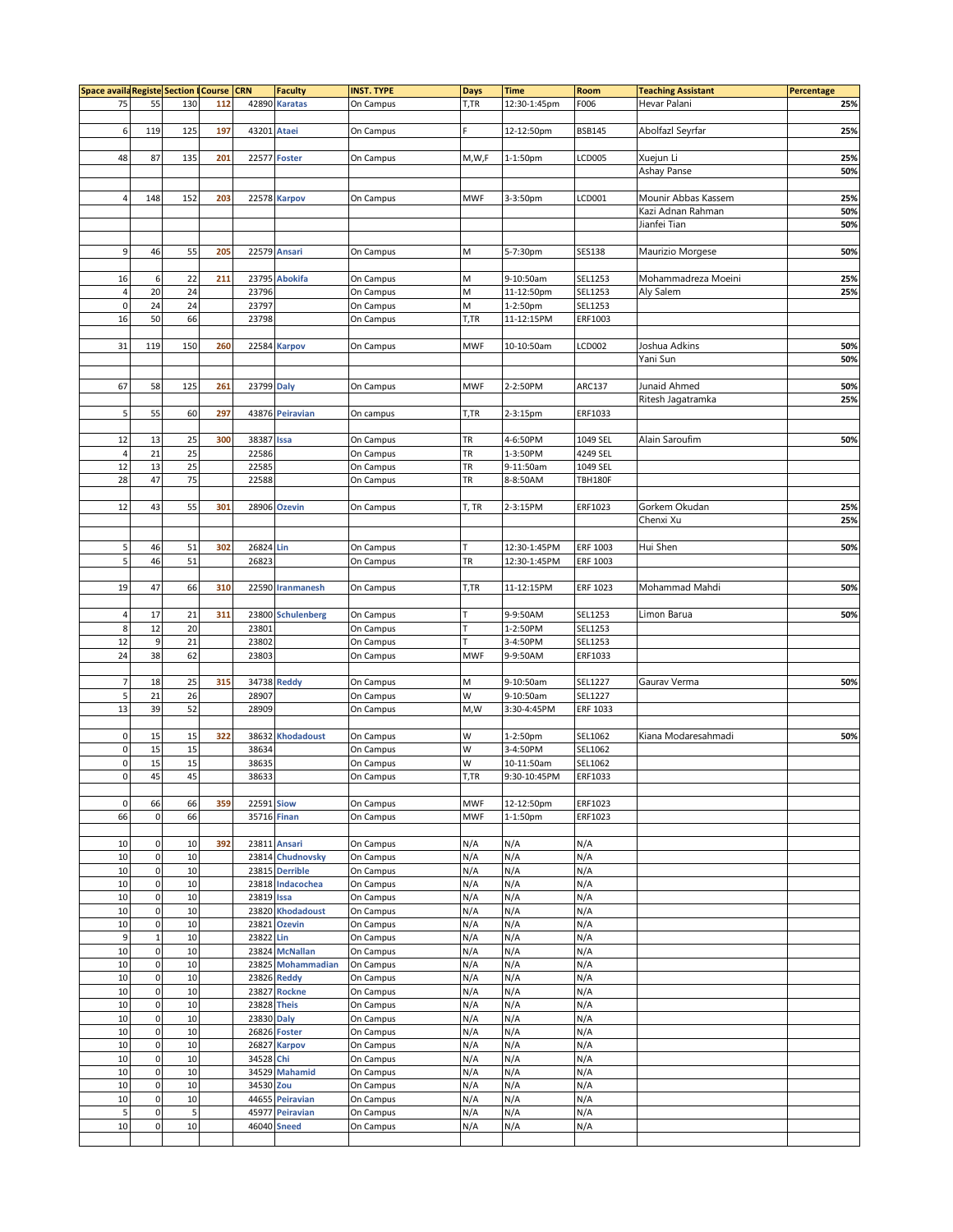| Space availa Registe Section   Course   CRN |                  |     |     |                   | <b>Faculty</b>     | <b>INST. TYPE</b> | <b>Days</b> | <b>Time</b>  | Room           | <b>Teaching Assistant</b> | Percentage |
|---------------------------------------------|------------------|-----|-----|-------------------|--------------------|-------------------|-------------|--------------|----------------|---------------------------|------------|
| 75                                          | 55               | 130 | 112 |                   | 42890 Karatas      | On Campus         | T,TR        | 12:30-1:45pm | F006           | Hevar Palani              | 25%        |
|                                             |                  |     |     |                   |                    |                   |             |              |                |                           |            |
| 6                                           | 119              | 125 | 197 | 43201 Ataei       |                    | On Campus         |             | 12-12:50pm   | <b>BSB145</b>  | Abolfazl Seyrfar          | 25%        |
|                                             |                  |     |     |                   |                    |                   |             |              |                |                           |            |
| 48                                          | 87               | 135 | 201 |                   |                    |                   |             |              |                |                           |            |
|                                             |                  |     |     |                   | 22577 Foster       | On Campus         | M,W,F       | 1-1:50pm     | LCD005         | Xuejun Li                 | 25%        |
|                                             |                  |     |     |                   |                    |                   |             |              |                | Ashay Panse               | 50%        |
|                                             |                  |     |     |                   |                    |                   |             |              |                |                           |            |
| 4                                           | 148              | 152 | 203 |                   | 22578 Karpov       | On Campus         | <b>MWF</b>  | 3-3:50pm     | LCD001         | Mounir Abbas Kassem       | 25%        |
|                                             |                  |     |     |                   |                    |                   |             |              |                | Kazi Adnan Rahman         | 50%        |
|                                             |                  |     |     |                   |                    |                   |             |              |                | Jianfei Tian              | 50%        |
|                                             |                  |     |     |                   |                    |                   |             |              |                |                           |            |
| 9                                           | 46               | 55  | 205 |                   | 22579 Ansari       | On Campus         | M           | 5-7:30pm     | <b>SES138</b>  | Maurizio Morgese          | 50%        |
|                                             |                  |     |     |                   |                    |                   |             |              |                |                           |            |
| 16                                          | 6                | 22  | 211 |                   | 23795 Abokifa      | On Campus         | M           | 9-10:50am    | SEL1253        | Mohammadreza Moeini       | 25%        |
| $\sqrt{4}$                                  | 20               | 24  |     | 23796             |                    | On Campus         | M           | 11-12:50pm   | SEL1253        | Aly Salem                 | 25%        |
| $\mathbf 0$                                 | 24               | 24  |     | 23797             |                    | On Campus         | М           | 1-2:50pm     | SEL1253        |                           |            |
| $16\,$                                      | 50               | 66  |     | 23798             |                    | On Campus         | T,TR        | 11-12:15PM   | ERF1003        |                           |            |
|                                             |                  |     |     |                   |                    |                   |             |              |                |                           |            |
|                                             |                  |     |     |                   |                    |                   |             |              |                |                           |            |
| 31                                          | 119              | 150 | 260 |                   | 22584 Karpov       | On Campus         | <b>MWF</b>  | 10-10:50am   | LCD002         | Joshua Adkins             | 50%        |
|                                             |                  |     |     |                   |                    |                   |             |              |                | Yani Sun                  | 50%        |
|                                             |                  |     |     |                   |                    |                   |             |              |                |                           |            |
| 67                                          | 58               | 125 | 261 | 23799 Daly        |                    | On Campus         | <b>MWF</b>  | 2-2:50PM     | ARC137         | Junaid Ahmed              | 50%        |
|                                             |                  |     |     |                   |                    |                   |             |              |                | Ritesh Jagatramka         | 25%        |
| 5                                           | 55               | 60  | 297 |                   | 43876 Peiravian    | On campus         | T,TR        | 2-3:15pm     | ERF1033        |                           |            |
|                                             |                  |     |     |                   |                    |                   |             |              |                |                           |            |
| 12                                          | 13               | 25  | 300 | 38387 Issa        |                    | On Campus         | TR          | 4-6:50PM     | 1049 SEL       | Alain Saroufim            | 50%        |
| $\overline{4}$                              | 21               | 25  |     | 22586             |                    | On Campus         | TR          | 1-3:50PM     | 4249 SEL       |                           |            |
| 12                                          | 13               | 25  |     | 22585             |                    | On Campus         | TR          | 9-11:50am    | 1049 SEL       |                           |            |
| 28                                          | 47               | 75  |     | 22588             |                    | On Campus         | TR          | 8-8:50AM     | <b>TBH180F</b> |                           |            |
|                                             |                  |     |     |                   |                    |                   |             |              |                |                           |            |
| 12                                          | 43               | 55  | 301 |                   |                    |                   |             |              |                |                           |            |
|                                             |                  |     |     |                   | 28906 Ozevin       | On Campus         | T, TR       | 2-3:15PM     | ERF1023        | Gorkem Okudan             | 25%        |
|                                             |                  |     |     |                   |                    |                   |             |              |                | Chenxi Xu                 | 25%        |
|                                             |                  |     |     |                   |                    |                   |             |              |                |                           |            |
| 5                                           | 46               | 51  | 302 | 26824 Lin         |                    | On Campus         | T           | 12:30-1:45PM | ERF 1003       | Hui Shen                  | 50%        |
| 5                                           | 46               | 51  |     | 26823             |                    | On Campus         | TR          | 12:30-1:45PM | ERF 1003       |                           |            |
|                                             |                  |     |     |                   |                    |                   |             |              |                |                           |            |
| 19                                          | 47               | 66  | 310 |                   | 22590 Iranmanesh   | On Campus         | T,TR        | 11-12:15PM   | ERF 1023       | Mohammad Mahdi            | 50%        |
|                                             |                  |     |     |                   |                    |                   |             |              |                |                           |            |
| $\sqrt{4}$                                  | 17               | 21  | 311 |                   | 23800 Schulenberg  | On Campus         | Т           | 9-9:50AM     | SEL1253        | Limon Barua               | 50%        |
| 8                                           | 12               | 20  |     | 23801             |                    | On Campus         | T           | 1-2:50PM     | SEL1253        |                           |            |
| 12                                          | $\boldsymbol{9}$ | 21  |     | 23802             |                    | On Campus         | T           | 3-4:50PM     | SEL1253        |                           |            |
| 24                                          | 38               | 62  |     | 23803             |                    | On Campus         | <b>MWF</b>  | 9-9:50AM     | ERF1033        |                           |            |
|                                             |                  |     |     |                   |                    |                   |             |              |                |                           |            |
|                                             |                  |     |     |                   |                    | On Campus         | М           | 9-10:50am    |                | Gaurav Verma              | 50%        |
| $\overline{7}$                              | 18               | 25  | 315 |                   | 34738 Reddy        |                   |             |              | SEL1227        |                           |            |
| 5                                           | 21               | 26  |     | 28907             |                    | On Campus         | W           | 9-10:50am    | SEL1227        |                           |            |
| 13                                          | 39               | 52  |     | 28909             |                    | On Campus         | M, W        | 3:30-4:45PM  | ERF 1033       |                           |            |
|                                             |                  |     |     |                   |                    |                   |             |              |                |                           |            |
| 0                                           | 15               | 15  | 322 |                   | 38632 Khodadoust   | On Campus         | W           | 1-2:50pm     | SEL1062        | Kiana Modaresahmadi       | 50%        |
| $\pmb{0}$                                   | 15               | 15  |     | 38634             |                    | On Campus         | W           | 3-4:50PM     | SEL1062        |                           |            |
| $\pmb{0}$                                   | 15               | 15  |     | 38635             |                    | On Campus         | W           | 10-11:50am   | SEL1062        |                           |            |
| $\mathbf 0$                                 | 45               | 45  |     | 38633             |                    | On Campus         | T,TR        | 9:30-10:45PM | ERF1033        |                           |            |
|                                             |                  |     |     |                   |                    |                   |             |              |                |                           |            |
| 0                                           | 66               | 66  | 359 | <b>22591 Siow</b> |                    | On Campus         | <b>MWF</b>  | 12-12:50pm   | ERF1023        |                           |            |
| 66                                          | $\mathbf 0$      | 66  |     |                   | 35716 Finan        | On Campus         | <b>MWF</b>  | 1-1:50pm     | ERF1023        |                           |            |
|                                             |                  |     |     |                   |                    |                   |             |              |                |                           |            |
| 10                                          | $\pmb{0}$        | 10  | 392 |                   | 23811 Ansari       | On Campus         | N/A         | N/A          | N/A            |                           |            |
| 10                                          | $\mathbf 0$      | 10  |     |                   | 23814 Chudnovsky   | On Campus         | N/A         | N/A          | N/A            |                           |            |
| 10                                          | $\pmb{0}$        | 10  |     |                   | 23815 Derrible     | On Campus         | N/A         | N/A          | N/A            |                           |            |
|                                             |                  |     |     |                   |                    |                   |             |              |                |                           |            |
| 10                                          | $\pmb{0}$        | 10  |     |                   | 23818 Indacochea   | On Campus         | N/A         | N/A          | N/A            |                           |            |
| 10                                          | $\pmb{0}$        | 10  |     | 23819 Issa        |                    | On Campus         | N/A         | N/A          | N/A            |                           |            |
| 10                                          | $\pmb{0}$        | 10  |     |                   | 23820 Khodadoust   | On Campus         | N/A         | N/A          | N/A            |                           |            |
| 10                                          | $\mathbf 0$      | 10  |     | 23821             | <b>Ozevin</b>      | On Campus         | N/A         | N/A          | N/A            |                           |            |
| 9                                           | $\mathbf{1}$     | 10  |     | 23822 Lin         |                    | On Campus         | N/A         | N/A          | N/A            |                           |            |
| 10                                          | $\pmb{0}$        | 10  |     |                   | 23824 McNallan     | On Campus         | N/A         | N/A          | N/A            |                           |            |
| 10                                          | $\pmb{0}$        | 10  |     |                   | 23825 Mohammadian  | On Campus         | N/A         | N/A          | N/A            |                           |            |
| 10                                          | $\pmb{0}$        | 10  |     |                   | 23826 Reddy        | On Campus         | N/A         | N/A          | N/A            |                           |            |
| 10                                          | $\pmb{0}$        | 10  |     |                   | 23827 Rockne       | On Campus         | N/A         | N/A          | N/A            |                           |            |
| 10                                          | $\pmb{0}$        | 10  |     |                   | <b>23828 Theis</b> | On Campus         | N/A         | N/A          | N/A            |                           |            |
| 10                                          | $\pmb{0}$        | 10  |     | 23830 Daly        |                    | On Campus         | N/A         | N/A          | N/A            |                           |            |
| 10                                          | $\pmb{0}$        | 10  |     |                   | 26826 Foster       | On Campus         | N/A         | N/A          | N/A            |                           |            |
| 10                                          | $\pmb{0}$        | 10  |     |                   | 26827 Karpov       | On Campus         | N/A         | N/A          | N/A            |                           |            |
|                                             |                  |     |     |                   |                    |                   |             |              |                |                           |            |
| $10\,$                                      | $\pmb{0}$        | 10  |     | 34528 Chi         |                    | On Campus         | N/A         | N/A          | N/A            |                           |            |
| 10                                          | $\pmb{0}$        | 10  |     |                   | 34529 Mahamid      | On Campus         | N/A         | N/A          | N/A            |                           |            |
| 10                                          | $\pmb{0}$        | 10  |     | 34530 Zou         |                    | On Campus         | N/A         | N/A          | N/A            |                           |            |
| 10                                          | $\pmb{0}$        | 10  |     |                   | 44655 Peiravian    | On Campus         | N/A         | N/A          | N/A            |                           |            |
| 5                                           | $\bf 0$          | 5   |     |                   | 45977 Peiravian    | On Campus         | N/A         | N/A          | N/A            |                           |            |
| 10                                          | $\mathbf 0$      | 10  |     |                   | <b>46040 Sneed</b> | On Campus         | N/A         | N/A          | N/A            |                           |            |
|                                             |                  |     |     |                   |                    |                   |             |              |                |                           |            |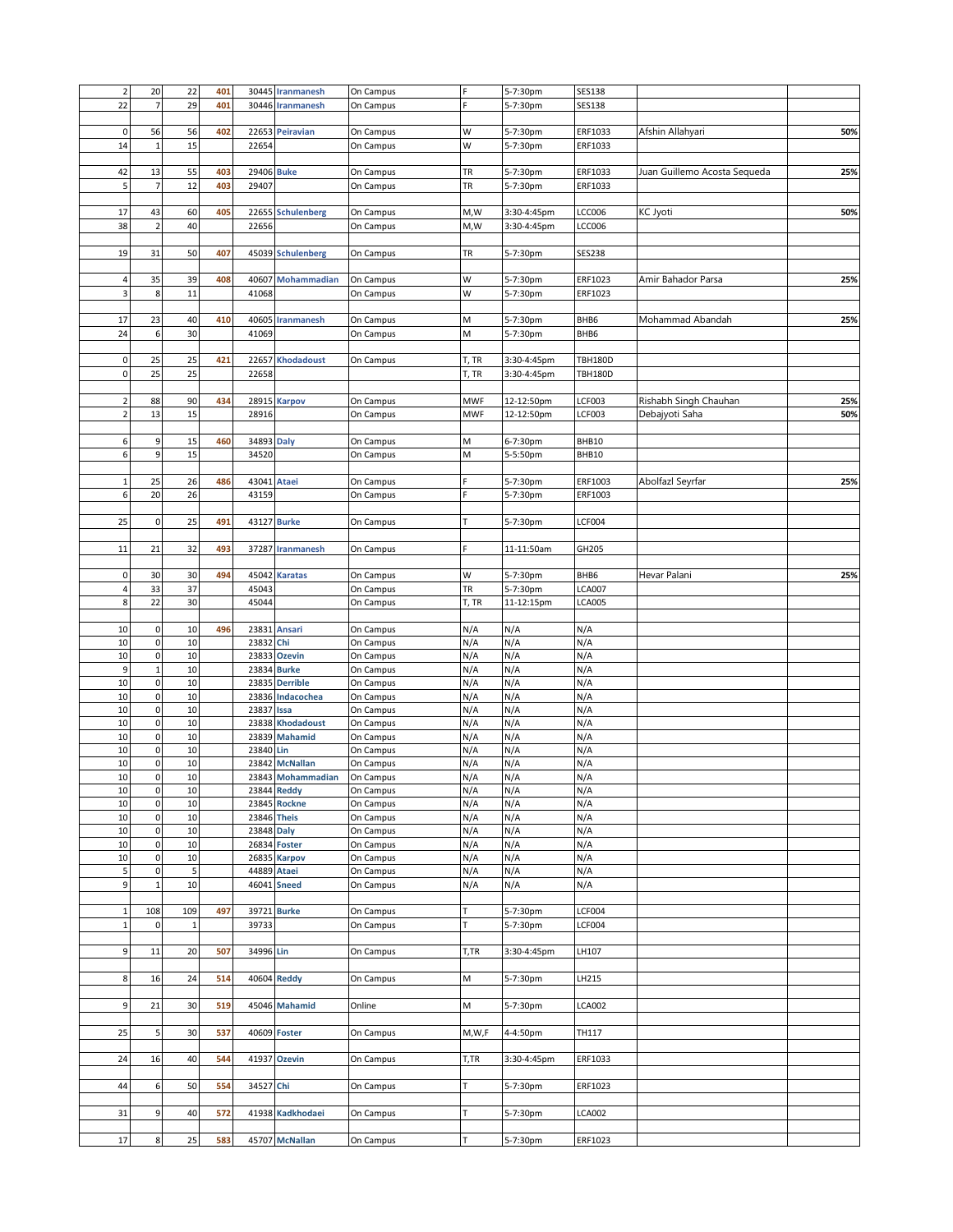| $\mathbf 2$    | 20             | 22           | 401 |             | 30445 Iranmanesh  | On Campus |            | 5-7:30pm    | <b>SES138</b>  |                              |     |
|----------------|----------------|--------------|-----|-------------|-------------------|-----------|------------|-------------|----------------|------------------------------|-----|
| 22             | $\overline{7}$ | 29           | 401 |             | 30446 Iranmanesh  | On Campus |            | 5-7:30pm    | <b>SES138</b>  |                              |     |
|                |                |              |     |             |                   |           |            |             |                |                              |     |
| $\pmb{0}$      | 56             | 56           | 402 |             | 22653 Peiravian   | On Campus | W          | 5-7:30pm    | ERF1033        | Afshin Allahyari             | 50% |
| 14             | $\mathbf{1}$   | 15           |     | 22654       |                   | On Campus | W          | 5-7:30pm    | ERF1033        |                              |     |
|                |                |              |     |             |                   |           |            |             |                |                              |     |
| 42             | 13             | 55           | 403 | 29406 Buke  |                   | On Campus | TR         | 5-7:30pm    | ERF1033        | Juan Guillemo Acosta Sequeda | 25% |
| 5              | $\overline{7}$ | 12           | 403 | 29407       |                   | On Campus | TR         | 5-7:30pm    | ERF1033        |                              |     |
|                |                |              |     |             |                   |           |            |             |                |                              |     |
| 17             | 43             | 60           | 405 |             | 22655 Schulenberg | On Campus | M,W        | 3:30-4:45pm | LCC006         | KC Jyoti                     | 50% |
| 38             | $\overline{2}$ | 40           |     | 22656       |                   | On Campus | M,W        | 3:30-4:45pm | LCC006         |                              |     |
|                |                |              |     |             |                   |           |            |             |                |                              |     |
| 19             | 31             | 50           | 407 |             | 45039 Schulenberg | On Campus | TR         | 5-7:30pm    | <b>SES238</b>  |                              |     |
|                |                |              |     |             |                   |           |            |             |                |                              |     |
| 4              | 35             | 39           | 408 | 40607       | Mohammadian       | On Campus | W          | 5-7:30pm    | ERF1023        | Amir Bahador Parsa           | 25% |
| 3              | $\,$ 8 $\,$    | 11           |     | 41068       |                   | On Campus | W          | 5-7:30pm    | ERF1023        |                              |     |
|                |                |              |     |             |                   |           |            |             |                |                              |     |
| 17             | 23             | 40           | 410 | 40605       | <b>Iranmanesh</b> | On Campus | М          | 5-7:30pm    | BHB6           | Mohammad Abandah             | 25% |
| 24             | 6              | 30           |     | 41069       |                   | On Campus | М          | 5-7:30pm    | BHB6           |                              |     |
|                |                |              |     |             |                   |           |            |             |                |                              |     |
| $\pmb{0}$      | 25             | 25           | 421 |             | 22657 Khodadoust  | On Campus | T, TR      | 3:30-4:45pm | <b>TBH180D</b> |                              |     |
| $\pmb{0}$      | 25             | 25           |     | 22658       |                   |           | T, TR      | 3:30-4:45pm | <b>TBH180D</b> |                              |     |
|                |                |              |     |             |                   |           |            |             |                |                              |     |
| $\overline{2}$ | 88             | 90           | 434 |             | 28915 Karpov      | On Campus | <b>MWF</b> | 12-12:50pm  | <b>LCF003</b>  | Rishabh Singh Chauhan        | 25% |
| $\mathbf 2$    | 13             | 15           |     | 28916       |                   | On Campus | <b>MWF</b> | 12-12:50pm  | <b>LCF003</b>  | Debajyoti Saha               | 50% |
|                |                |              |     |             |                   |           |            |             |                |                              |     |
| 6              | 9              | 15           | 460 | 34893 Daly  |                   | On Campus | М          | 6-7:30pm    | BHB10          |                              |     |
| 6              | 9              | 15           |     | 34520       |                   |           | М          |             | BHB10          |                              |     |
|                |                |              |     |             |                   | On Campus |            | 5-5:50pm    |                |                              |     |
|                |                |              |     |             |                   |           |            |             |                |                              |     |
| $\mathbf 1$    | 25             | 26           | 486 | 43041 Ataei |                   | On Campus |            | 5-7:30pm    | ERF1003        | Abolfazl Seyrfar             | 25% |
| 6              | 20             | 26           |     | 43159       |                   | On Campus |            | 5-7:30pm    | ERF1003        |                              |     |
|                |                |              |     |             |                   |           |            |             |                |                              |     |
| 25             | $\pmb{0}$      | 25           | 491 |             | 43127 Burke       | On Campus |            | 5-7:30pm    | LCF004         |                              |     |
|                |                |              |     |             |                   |           |            |             |                |                              |     |
| 11             | 21             | 32           | 493 |             | 37287 Iranmanesh  | On Campus |            | 11-11:50am  | GH205          |                              |     |
|                |                |              |     |             |                   |           |            |             |                |                              |     |
| $\pmb{0}$      | 30             | 30           | 494 |             | 45042 Karatas     | On Campus | W          | 5-7:30pm    | BHB6           | Hevar Palani                 | 25% |
| 4              | 33             | 37           |     | 45043       |                   | On Campus | TR         | 5-7:30pm    | <b>LCA007</b>  |                              |     |
| 8              | 22             | $30\,$       |     | 45044       |                   | On Campus | T, TR      | 11-12:15pm  | <b>LCA005</b>  |                              |     |
|                |                |              |     |             |                   |           |            |             |                |                              |     |
|                |                |              |     |             |                   |           |            |             |                |                              |     |
| 10             | $\pmb{0}$      | 10           | 496 |             | 23831 Ansari      | On Campus | N/A        | N/A         | N/A            |                              |     |
| 10             | $\pmb{0}$      | 10           |     | 23832 Chi   |                   | On Campus | N/A        | N/A         | N/A            |                              |     |
| $10\,$         | $\pmb{0}$      | 10           |     | 23833       | <b>Ozevin</b>     | On Campus | N/A        | N/A         | N/A            |                              |     |
| 9              | $\mathbf{1}$   | 10           |     | 23834       | <b>Burke</b>      | On Campus | N/A        | N/A         | N/A            |                              |     |
| 10             | $\pmb{0}$      | $10$         |     |             | 23835 Derrible    | On Campus | N/A        | N/A         | N/A            |                              |     |
| 10             | $\pmb{0}$      | 10           |     |             | 23836 Indacochea  | On Campus | N/A        | N/A         | N/A            |                              |     |
| $10\,$         | $\pmb{0}$      | 10           |     | 23837       | Issa              | On Campus | N/A        | N/A         | N/A            |                              |     |
| 10             | $\pmb{0}$      | 10           |     |             | 23838 Khodadoust  | On Campus | N/A        | N/A         | N/A            |                              |     |
| 10             | $\mathbf 0$    | $10\,$       |     |             | 23839 Mahamid     | On Campus | N/A        | N/A         | N/A            |                              |     |
| $10\,$         | $\pmb{0}$      | 10           |     | 23840 Lin   |                   | On Campus | N/A        | N/A         | N/A            |                              |     |
| 10             | $\pmb{0}$      | $10\,$       |     |             | 23842 McNallan    | On Campus | N/A        | N/A         | N/A            |                              |     |
| 10             | $\mathbf 0$    | 10           |     |             | 23843 Mohammadian | On Campus | N/A        | N/A         | N/A            |                              |     |
| $10\,$         | $\pmb{0}$      | 10           |     |             | 23844 Reddy       | On Campus | N/A        | N/A         | N/A            |                              |     |
| $10\,$         | $\pmb{0}$      | $10\,$       |     |             | 23845 Rockne      | On Campus | N/A        | N/A         | N/A            |                              |     |
| $10\,$         | $\pmb{0}$      | 10           |     |             | 23846 Theis       | On Campus | N/A        | N/A         | N/A            |                              |     |
| 10             | $\mathbf 0$    | 10           |     | 23848 Daly  |                   | On Campus | N/A        | N/A         | N/A            |                              |     |
| $10\,$         | $\mathbf 0$    | 10           |     | 26834       | Foster            | On Campus | N/A        | N/A         | N/A            |                              |     |
| 10             | $\mathbf 0$    | $10\,$       |     | 26835       | <b>Karpov</b>     | On Campus | N/A        | N/A         | N/A            |                              |     |
| 5              | $\mathbf 0$    | $\sf 5$      |     | 44889       | <b>Ataei</b>      | On Campus | N/A        | N/A         | N/A            |                              |     |
| 9              | $\mathbf{1}$   | 10           |     |             | 46041 Sneed       | On Campus | N/A        | N/A         | N/A            |                              |     |
|                |                |              |     |             |                   |           |            |             |                |                              |     |
| $\mathbf{1}$   | 108            | 109          | 497 |             | 39721 Burke       |           | т          |             | <b>LCF004</b>  |                              |     |
| $\mathbf 1$    | $\pmb{0}$      | $\mathbf{1}$ |     | 39733       |                   | On Campus | T          | 5-7:30pm    |                |                              |     |
|                |                |              |     |             |                   | On Campus |            | 5-7:30pm    | <b>LCF004</b>  |                              |     |
| 9              |                |              | 507 |             |                   | On Campus | T,TR       |             |                |                              |     |
|                | 11             | 20           |     | 34996 Lin   |                   |           |            | 3:30-4:45pm | LH107          |                              |     |
| 8              | 16             | 24           | 514 |             |                   |           | М          |             | LH215          |                              |     |
|                |                |              |     |             | 40604 Reddy       | On Campus |            | 5-7:30pm    |                |                              |     |
|                |                |              |     |             |                   |           |            |             |                |                              |     |
| 9              | 21             | 30           | 519 |             | 45046 Mahamid     | Online    | М          | 5-7:30pm    | LCA002         |                              |     |
|                |                |              |     |             |                   |           |            |             |                |                              |     |
| 25             | 5              | 30           | 537 |             | 40609 Foster      | On Campus | M,W,F      | 4-4:50pm    | TH117          |                              |     |
|                |                |              |     |             |                   |           |            |             |                |                              |     |
| 24             | 16             | 40           | 544 | 41937       | <b>Ozevin</b>     | On Campus | T,TR       | 3:30-4:45pm | ERF1033        |                              |     |
|                |                |              |     |             |                   |           |            |             |                |                              |     |
| 44             | 6              | 50           | 554 | 34527 Chi   |                   | On Campus |            | 5-7:30pm    | ERF1023        |                              |     |
|                |                |              |     |             |                   |           |            |             |                |                              |     |
| 31             | 9              | 40           | 572 | 41938       | Kadkhodaei        | On Campus |            | 5-7:30pm    | LCA002         |                              |     |
| 17             | $\,$ 8 $\,$    | 25           | 583 |             | 45707 McNallan    | On Campus | T          | 5-7:30pm    | ERF1023        |                              |     |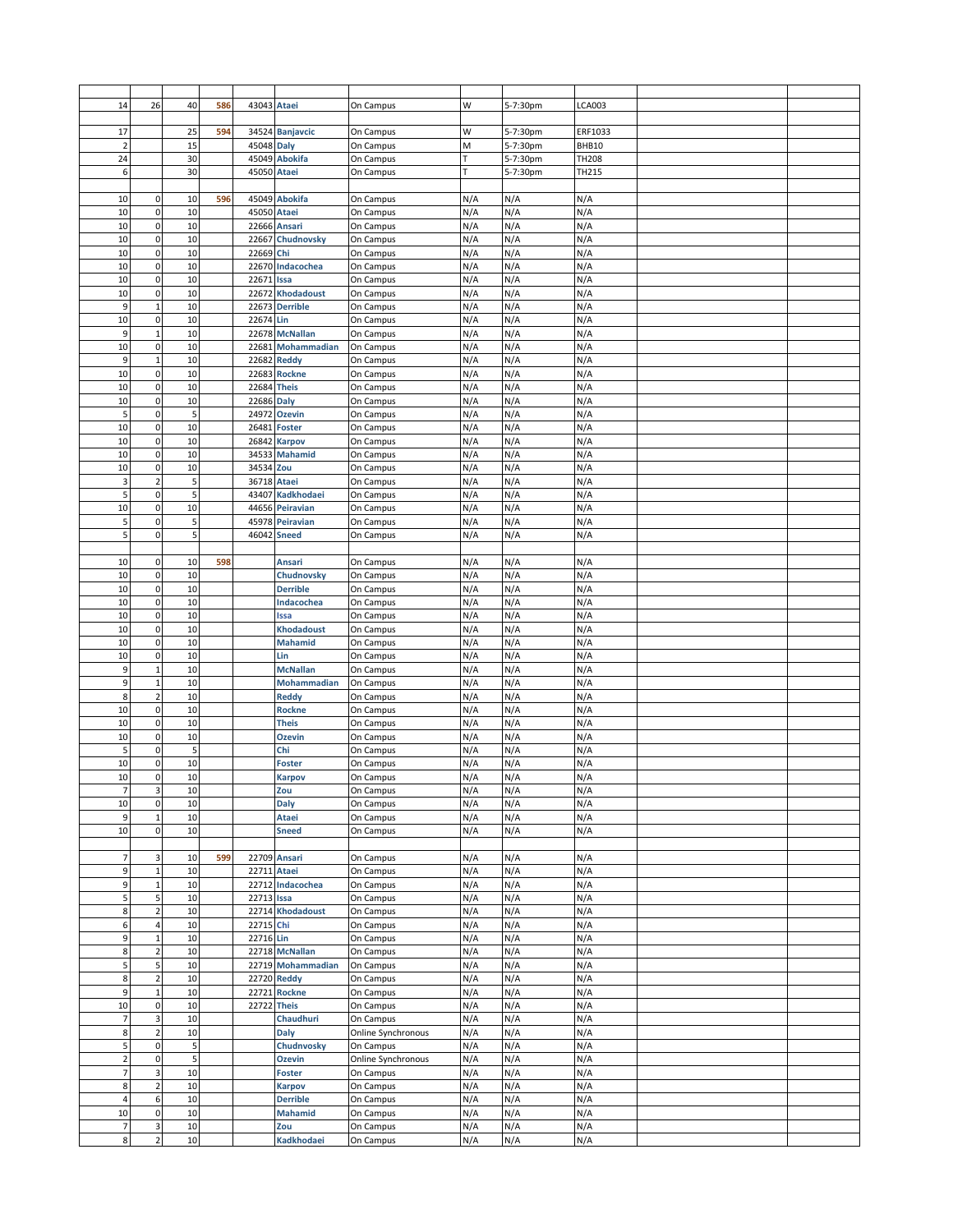| 14             | 26                      | 40 | 586 | 43043 Ataei |                    | On Campus          | W   | 5-7:30pm | <b>LCA003</b> |  |
|----------------|-------------------------|----|-----|-------------|--------------------|--------------------|-----|----------|---------------|--|
|                |                         |    |     |             |                    |                    |     |          |               |  |
| 17             |                         | 25 | 594 |             | 34524 Banjavcic    | On Campus          | W   | 5-7:30pm | ERF1033       |  |
| $\overline{2}$ |                         | 15 |     | 45048 Daly  |                    | On Campus          | M   | 5-7:30pm | BHB10         |  |
| 24             |                         | 30 |     |             | 45049 Abokifa      | On Campus          | т   | 5-7:30pm | <b>TH208</b>  |  |
|                |                         | 30 |     |             |                    |                    |     |          | TH215         |  |
| 6              |                         |    |     | 45050 Ataei |                    | On Campus          |     | 5-7:30pm |               |  |
|                |                         |    |     |             |                    |                    |     |          |               |  |
| 10             | $\pmb{0}$               | 10 | 596 |             | 45049 Abokifa      | On Campus          | N/A | N/A      | N/A           |  |
| 10             | $\mathbf 0$             | 10 |     |             | 45050 Ataei        | On Campus          | N/A | N/A      | N/A           |  |
| 10             | $\pmb{0}$               | 10 |     |             | 22666 Ansari       | On Campus          | N/A | N/A      | N/A           |  |
| 10             | 0                       | 10 |     | 22667       | Chudnovsky         | On Campus          | N/A | N/A      | N/A           |  |
| 10             | $\mathbf 0$             | 10 |     | 22669 Chi   |                    | On Campus          | N/A | N/A      | N/A           |  |
| 10             | $\mathbf 0$             | 10 |     |             | 22670 Indacochea   | On Campus          | N/A | N/A      | N/A           |  |
|                |                         |    |     |             |                    |                    |     |          |               |  |
| 10             | $\pmb{0}$               | 10 |     | 22671       | Issa               | On Campus          | N/A | N/A      | N/A           |  |
| 10             | 0                       | 10 |     | 22672       | <b>Khodadoust</b>  | On Campus          | N/A | N/A      | N/A           |  |
| 9              | $\mathbf{1}$            | 10 |     | 22673       | <b>Derrible</b>    | On Campus          | N/A | N/A      | N/A           |  |
| 10             | $\mathbf 0$             | 10 |     | 22674       | Lin                | On Campus          | N/A | N/A      | N/A           |  |
| 9              | $\mathbf{1}$            | 10 |     |             | 22678 McNallan     | On Campus          | N/A | N/A      | N/A           |  |
| 10             | $\mathbf 0$             | 10 |     | 22681       | Mohammadian        | On Campus          | N/A | N/A      | N/A           |  |
| 9              | $\mathbf{1}$            | 10 |     | 22682       | <b>Reddy</b>       | On Campus          | N/A | N/A      | N/A           |  |
| 10             | $\mathbf 0$             | 10 |     | 22683       | <b>Rockne</b>      | On Campus          | N/A | N/A      | N/A           |  |
| 10             | 0                       | 10 |     | 22684       | <b>Theis</b>       | On Campus          | N/A | N/A      | N/A           |  |
|                |                         |    |     |             |                    |                    |     |          |               |  |
| 10             | 0                       | 10 |     | 22686       | <b>Daly</b>        | On Campus          | N/A | N/A      | N/A           |  |
| 5              | 0                       | 5  |     | 24972       | <b>Ozevin</b>      | On Campus          | N/A | N/A      | N/A           |  |
| 10             | $\pmb{0}$               | 10 |     |             | 26481 Foster       | On Campus          | N/A | N/A      | N/A           |  |
| 10             | $\pmb{0}$               | 10 |     |             | 26842 Karpov       | On Campus          | N/A | N/A      | N/A           |  |
| 10             | $\mathbf 0$             | 10 |     | 34533       | <b>Mahamid</b>     | On Campus          | N/A | N/A      | N/A           |  |
| 10             | $\mathbf 0$             | 10 |     | 34534       | Zou                | On Campus          | N/A | N/A      | N/A           |  |
| 3              | $\overline{2}$          | 5  |     | 36718 Ataei |                    | On Campus          | N/A | N/A      | N/A           |  |
| 5              | $\mathbf 0$             | 5  |     |             | 43407 Kadkhodaei   | On Campus          | N/A | N/A      | N/A           |  |
|                |                         |    |     |             |                    |                    |     |          |               |  |
| 10             | $\mathbf 0$             | 10 |     |             | 44656 Peiravian    | On Campus          | N/A | N/A      | N/A           |  |
| 5              | $\pmb{0}$               | 5  |     |             | 45978 Peiravian    | On Campus          | N/A | N/A      | N/A           |  |
| 5              | $\mathbf 0$             | 5  |     | 46042       | <b>Sneed</b>       | On Campus          | N/A | N/A      | N/A           |  |
|                |                         |    |     |             |                    |                    |     |          |               |  |
| 10             | $\mathbf 0$             | 10 | 598 |             | Ansari             | On Campus          | N/A | N/A      | N/A           |  |
| 10             | 0                       | 10 |     |             | Chudnovsky         | On Campus          | N/A | N/A      | N/A           |  |
| 10             | $\mathbf 0$             | 10 |     |             | <b>Derrible</b>    | On Campus          | N/A | N/A      | N/A           |  |
| 10             | $\mathbf 0$             | 10 |     |             | Indacochea         | On Campus          | N/A | N/A      | N/A           |  |
| 10             | 0                       | 10 |     |             | Issa               |                    | N/A | N/A      | N/A           |  |
|                |                         |    |     |             |                    | On Campus          |     |          |               |  |
| 10             | 0                       | 10 |     |             | <b>Khodadoust</b>  | On Campus          | N/A | N/A      | N/A           |  |
| 10             | $\mathbf 0$             | 10 |     |             | <b>Mahamid</b>     | On Campus          | N/A | N/A      | N/A           |  |
| 10             | $\mathbf 0$             | 10 |     |             | Lin                | On Campus          | N/A | N/A      | N/A           |  |
| 9              | $\mathbf{1}$            | 10 |     |             | <b>McNallan</b>    | On Campus          | N/A | N/A      | N/A           |  |
| 9              | $\mathbf{1}$            | 10 |     |             | Mohammadian        | On Campus          | N/A | N/A      | N/A           |  |
| 8              | $\overline{2}$          | 10 |     |             | <b>Reddy</b>       | On Campus          | N/A | N/A      | N/A           |  |
| 10             | $\mathbf 0$             | 10 |     |             | <b>Rockne</b>      | On Campus          | N/A | N/A      | N/A           |  |
| 10             | $\mathbf 0$             | 10 |     |             | <b>Theis</b>       | On Campus          | N/A | N/A      | N/A           |  |
|                |                         |    |     |             |                    |                    |     |          |               |  |
| 10             | 0                       | 10 |     |             | <b>Ozevin</b>      | On Campus          | N/A | N/A      | N/A           |  |
| 5              | 0                       | 5  |     |             | Chi                | On Campus          | N/A | N/A      | N/A           |  |
| 10             | $\mathbf 0$             | 10 |     |             | <b>Foster</b>      | On Campus          | N/A | N/A      | N/A           |  |
| 10             | $\mathbf 0$             | 10 |     |             | Karpov             | On Campus          | N/A | N/A      | N/A           |  |
| $\overline{7}$ | 3                       | 10 |     |             | Zou                | On Campus          | N/A | N/A      | N/A           |  |
| 10             | $\mathbf 0$             | 10 |     |             | <b>Daly</b>        | On Campus          | N/A | N/A      | N/A           |  |
| 9              | $\mathbf 1$             | 10 |     |             | Ataei              | On Campus          | N/A | N/A      | N/A           |  |
| 10             | $\pmb{0}$               | 10 |     |             | <b>Sneed</b>       | On Campus          | N/A | N/A      | N/A           |  |
|                |                         |    |     |             |                    |                    |     |          |               |  |
|                |                         |    |     |             |                    |                    |     |          |               |  |
| 7              | 3                       | 10 | 599 |             | 22709 Ansari       | On Campus          | N/A | N/A      | N/A           |  |
| 9              | $\mathbf 1$             | 10 |     |             | 22711 Ataei        | On Campus          | N/A | N/A      | N/A           |  |
| 9              | $\mathbf{1}$            | 10 |     |             | 22712 Indacochea   | On Campus          | N/A | N/A      | N/A           |  |
| 5              | 5                       | 10 |     | 22713 Issa  |                    | On Campus          | N/A | N/A      | N/A           |  |
| 8              | $\overline{2}$          | 10 |     |             | 22714 Khodadoust   | On Campus          | N/A | N/A      | N/A           |  |
| 6              | $\overline{4}$          | 10 |     | 22715       | Chi                | On Campus          | N/A | N/A      | N/A           |  |
| 9              | $\mathbf{1}$            | 10 |     | 22716 Lin   |                    | On Campus          | N/A | N/A      | N/A           |  |
| 8              | $\overline{\mathbf{c}}$ | 10 |     |             | 22718 McNallan     | On Campus          | N/A | N/A      | N/A           |  |
| 5              | 5                       | 10 |     |             | 22719 Mohammadian  | On Campus          | N/A | N/A      | N/A           |  |
|                |                         | 10 |     |             |                    |                    |     |          |               |  |
| 8              | $\overline{2}$          |    |     |             | <b>22720 Reddy</b> | On Campus          | N/A | N/A      | N/A           |  |
| 9              | $\mathbf 1$             | 10 |     | 22721       | <b>Rockne</b>      | On Campus          | N/A | N/A      | N/A           |  |
| 10             | $\pmb{0}$               | 10 |     |             | <b>22722 Theis</b> | On Campus          | N/A | N/A      | N/A           |  |
| $\overline{7}$ | 3                       | 10 |     |             | Chaudhuri          | On Campus          | N/A | N/A      | N/A           |  |
| 8              | $\overline{2}$          | 10 |     |             | Daly               | Online Synchronous | N/A | N/A      | N/A           |  |
| 5              | $\mathbf 0$             | 5  |     |             | Chudnvosky         | On Campus          | N/A | N/A      | N/A           |  |
| $\overline{2}$ | $\pmb{0}$               | 5  |     |             | <b>Ozevin</b>      | Online Synchronous | N/A | N/A      | N/A           |  |
| $\overline{7}$ | 3                       | 10 |     |             | <b>Foster</b>      | On Campus          | N/A | N/A      | N/A           |  |
| 8              | $\overline{2}$          | 10 |     |             | <b>Karpov</b>      | On Campus          | N/A | N/A      | N/A           |  |
| $\overline{4}$ | $\boldsymbol{6}$        | 10 |     |             |                    | On Campus          | N/A | N/A      | N/A           |  |
|                |                         |    |     |             | Derrible           |                    |     |          |               |  |
| 10             | $\pmb{0}$               | 10 |     |             | <b>Mahamid</b>     | On Campus          | N/A | N/A      | N/A           |  |
| $\overline{7}$ | 3                       | 10 |     |             | Zou                | On Campus          | N/A | N/A      | N/A           |  |
| 8              | $\overline{2}$          | 10 |     |             | Kadkhodaei         | On Campus          | N/A | N/A      | N/A           |  |